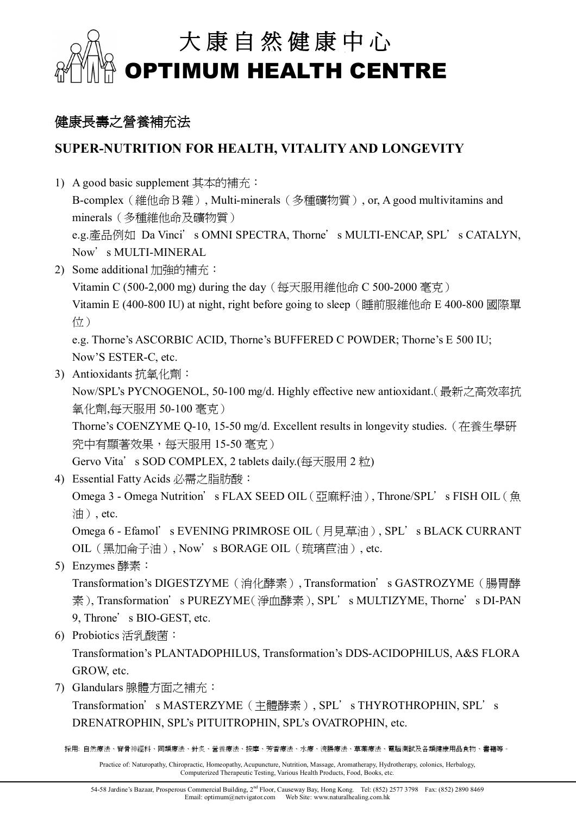

### **健康長壽之營養補充法**

### **SUPER-NUTRITION FOR HEALTH, VITALITY AND LONGEVITY**

- 1) A good basic supplement 其本的補充: B-complex(維他命B雜), Multi-minerals(多種礦物質), or, A good multivitamins and minerals(多種維他命及礦物質) e.g.產品例如 Da Vinci's OMNI SPECTRA, Thorne's MULTI-ENCAP, SPL's CATALYN, Now's MULTI-MINERAL
- 2) Some additional 加強的補充:

Vitamin C (500-2,000 mg) during the day(每天服用維他命 C 500-2000 毫克)

Vitamin E (400-800 IU) at night, right before going to sleep(睡前服維他命 E 400-800 國際單 位)

e.g. Thorne's ASCORBIC ACID, Thorne's BUFFERED C POWDER; Thorne's E 500 IU; Now'S ESTER-C, etc.

3) Antioxidants 抗氧化劑:

Now/SPL's PYCNOGENOL, 50-100 mg/d. Highly effective new antioxidant.(最新之高效率抗 氧化劑,每天服用 50-100 毫克)

Thorne's COENZYME Q-10, 15-50 mg/d. Excellent results in longevity studies.(在養生學研 究中有顯著效果,每天服用 15-50 毫克)

Gervo Vita's SOD COMPLEX, 2 tablets daily.(每天服用 2 粒)

4) Essential Fatty Acids 必需之脂肪酸:

Omega 3 - Omega Nutrition's FLAX SEED OIL (亞麻籽油), Throne/SPL's FISH OIL (魚 油), etc.

Omega 6 - Efamol's EVENING PRIMROSE OIL (月見草油), SPL's BLACK CURRANT OIL(黑加侖子油), Now's BORAGE OIL(琉璃苣油), etc.

5) Enzymes 酵素:

Transformation's DIGESTZYME(消化酵素), Transformation's GASTROZYME(腸胃酵 素), Transformation's PUREZYME(淨血酵素), SPL's MULTIZYME, Thorne's DI-PAN 9, Throne's BIO-GEST, etc.

6) Probiotics 活乳酸菌:

Transformation's PLANTADOPHILUS, Transformation's DDS-ACIDOPHILUS, A&S FLORA GROW, etc.

7) Glandulars 腺體方面之補充:

Transformation's MASTERZYME(主體酵素), SPL's THYROTHROPHIN, SPL's DRENATROPHIN, SPL's PITUITROPHIN, SPL's OVATROPHIN, etc.

採用: 自然療法、脊骨神經科、同類療法、針炙、營養療法、按摩、芳香療法、水療、浣腸療法、草藥療法、電腦測試及各類健康用品食物、書籍等。

Practice of: Naturopathy, Chiropractic, Homeopathy, Acupuncture, Nutrition, Massage, Aromatherapy, Hydrotherapy, colonics, Herbalogy, Computerized Therapeutic Testing, Various Health Products, Food, Books, etc.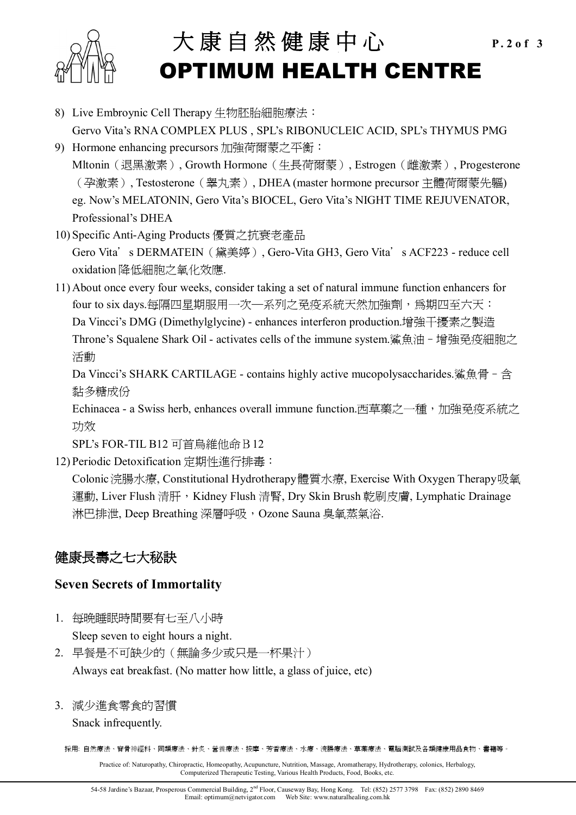

# 大康自然健康中心 P.2of 3 **OPTIMUM HEALTH CENTRE**

- 8) Live Embroynic Cell Therapy 生物胚胎細胞療法: Gervo Vita's RNA COMPLEX PLUS , SPL's RIBONUCLEIC ACID, SPL's THYMUS PMG
- 9) Hormone enhancing precursors 加強荷爾蒙之平衡: Mltonin(退黑激素), Growth Hormone(生長荷爾蒙), Estrogen(雌激素), Progesterone (孕激素), Testosterone(睾丸素), DHEA (master hormone precursor 主體荷爾蒙先軀) eg. Now's MELATONIN, Gero Vita's BIOCEL, Gero Vita's NIGHT TIME REJUVENATOR, Professional's DHEA
- 10) Specific Anti-Aging Products 優質之抗衰老產品

Gero Vita's DERMATEIN (黛美婷), Gero-Vita GH3, Gero Vita's ACF223 - reduce cell oxidation 降低細胞之氧化效應.

11) About once every four weeks, consider taking a set of natural immune function enhancers for four to six days.每隔四星期服用一次—系列之免疫系統天然加強劑,為期四至六天: Da Vincci's DMG (Dimethylglycine) - enhances interferon production.增強干擾素之製造 Throne's Squalene Shark Oil - activates cells of the immune system.鯊魚油–增強免疫細胞之 活動

Da Vincci's SHARK CARTILAGE - contains highly active mucopolysaccharides.鯊魚骨 - 含 黏多糖成份

Echinacea - a Swiss herb, enhances overall immune function.西草藥之一種,加強免疫系統之 功效

SPL's FOR-TIL B12 可首烏維他命B12

12) Periodic Detoxification 定期性進行排毒:

Colonic 浣腸水療, Constitutional Hydrotherapy 體質水療, Exercise With Oxygen Therapy 吸氧 運動, Liver Flush 清肝, Kidney Flush 清腎, Dry Skin Brush 乾刷皮膚, Lymphatic Drainage 淋巴排泄, Deep Breathing 深層呼吸, Ozone Sauna 臭氧蒸氣浴.

## **健康長壽之七大秘訣**

#### **Seven Secrets of Immortality**

1. 每晚睡眠時間要有七至八小時

Sleep seven to eight hours a night.

- 2. 早餐是不可缺少的(無論多少或只是一杯果汁) Always eat breakfast. (No matter how little, a glass of juice, etc)
- 3. 減少進食零食的習慣

Snack infrequently.

採用: 自然療法、脊骨神經科、同類療法、針炙、營養療法、按摩、芳香療法、水療、浣腸療法、草藥療法、電腦測試及各類健康用品食物、書籍等。

Practice of: Naturopathy, Chiropractic, Homeopathy, Acupuncture, Nutrition, Massage, Aromatherapy, Hydrotherapy, colonics, Herbalogy, Computerized Therapeutic Testing, Various Health Products, Food, Books, etc.